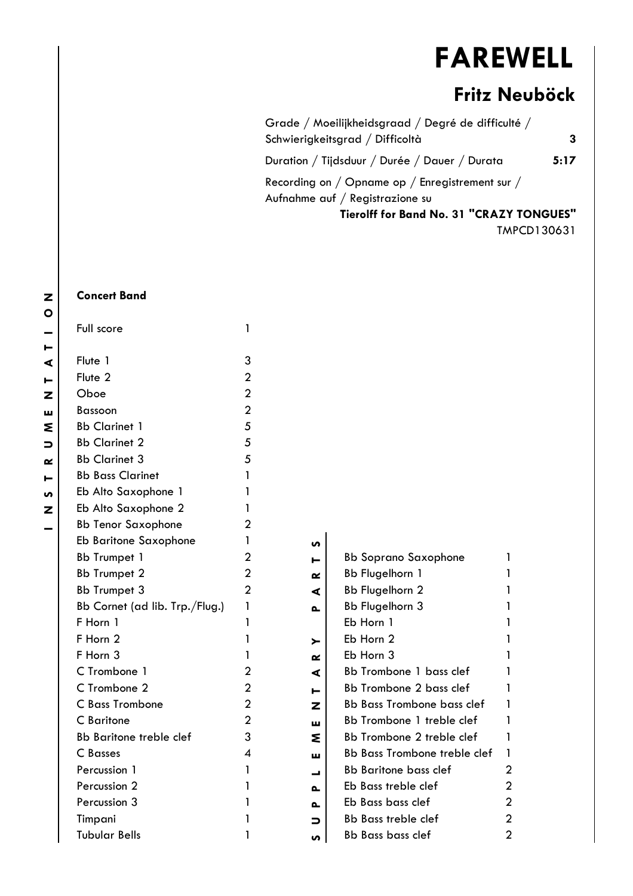# **FAREWELL**

## **Fritz Neuböck**

Grade / Moeilijkheidsgraad / Degré de difficulté / Schwierigkeitsgrad / Difficoltà **3** Duration / Tijdsduur / Durée / Dauer / Durata **5:17** Recording on / Opname op / Enregistrement sur / Aufnahme auf / Registrazione su **Tierolff for Band No. 31 "CRAZY TONGUES"**

TMPCD130631

### **Concert Band**

| Full score                     | 1                        |    |
|--------------------------------|--------------------------|----|
| Flute 1                        | 3                        |    |
| Flute <sub>2</sub>             | $\overline{2}$           |    |
| Oboe                           | $\overline{a}$           |    |
| Bassoon                        | $\overline{2}$           |    |
| <b>Bb Clarinet 1</b>           | 5                        |    |
| <b>Bb Clarinet 2</b>           | 5                        |    |
| <b>Bb Clarinet 3</b>           | 5                        |    |
| <b>Bb Bass Clarinet</b>        | 1                        |    |
| Eb Alto Saxophone 1            | 1                        |    |
| Eb Alto Saxophone 2            | 1                        |    |
| <b>Bb Tenor Saxophone</b>      | 2                        |    |
| <b>Eb Baritone Saxophone</b>   | 1                        |    |
| <b>Bb Trumpet 1</b>            | $\overline{2}$           |    |
| <b>Bb Trumpet 2</b>            | $\overline{c}$           | ≃  |
| <b>Bb Trumpet 3</b>            | $\overline{2}$           | ⋖  |
| Bb Cornet (ad lib. Trp./Flug.) | 1                        | ௨  |
| F Horn 1                       | 1                        |    |
| F Horn 2                       | 1                        |    |
| F Horn 3                       | 1                        | ≃  |
| C Trombone 1                   | $\overline{c}$           | ⋖  |
| C Trombone 2                   | $\overline{c}$           |    |
| C Bass Trombone                | $\overline{2}$           | z  |
| <b>C</b> Baritone              | $\overline{2}$           |    |
| <b>Bb Baritone treble clef</b> | 3                        | Σ  |
| <b>C</b> Basses                | $\overline{\mathcal{A}}$ | ш  |
| Percussion 1                   | $\mathbf{1}$             |    |
| Percussion 2                   | 1                        | Δ. |
| Percussion 3                   | 1                        | ௨  |
| Timpani                        | 1                        |    |
| <b>Tubular Bells</b>           | 1                        | S  |
|                                |                          |    |

| Eb Baritone Saxophone          |   | S         |                                   |   |
|--------------------------------|---|-----------|-----------------------------------|---|
| Bb Trumpet 1                   | 2 | ►         | Bb Soprano Saxophone              |   |
| Bb Trumpet 2                   | 2 | ≃         | Bb Flugelhorn 1                   |   |
| <b>Bb Trumpet 3</b>            | 2 | ⋖         | <b>Bb Flugelhorn 2</b>            |   |
| Bb Cornet (ad lib. Trp./Flug.) |   | $\sim$    | Bb Flugelhorn 3                   |   |
| F Horn 1                       |   |           | Eb Horn 1                         |   |
| F Horn 2                       |   | ≻         | Eb Horn 2                         |   |
| F Horn 3                       |   | $\propto$ | Eb Horn 3                         |   |
| C Trombone 1                   | 2 | ⋖         | Bb Trombone 1 bass clef           |   |
| C Trombone 2                   | 2 | ►         | Bb Trombone 2 bass clef           |   |
| C Bass Trombone                | 2 | z         | <b>Bb Bass Trombone bass clef</b> |   |
| C Baritone                     | 2 | ш         | Bb Trombone 1 treble clef         |   |
| <b>Bb Baritone treble clef</b> | 3 | ٤         | Bb Trombone 2 treble clef         |   |
| C Basses                       | 4 | ш         | Bb Bass Trombone treble clef      |   |
| Percussion 1                   |   | ᅴ         | <b>Bb Baritone bass clef</b>      | 2 |
| Percussion 2                   |   | ௳         | Eb Bass treble clef               | 2 |
| Percussion 3                   |   | $\sim$    | Eb Bass bass clef                 | 2 |
| Timpani                        |   | ⊃         | Bb Bass treble clef               | 2 |
| Tubular Bells                  |   | n         | <b>Bb Bass bass clef</b>          | 2 |

**I**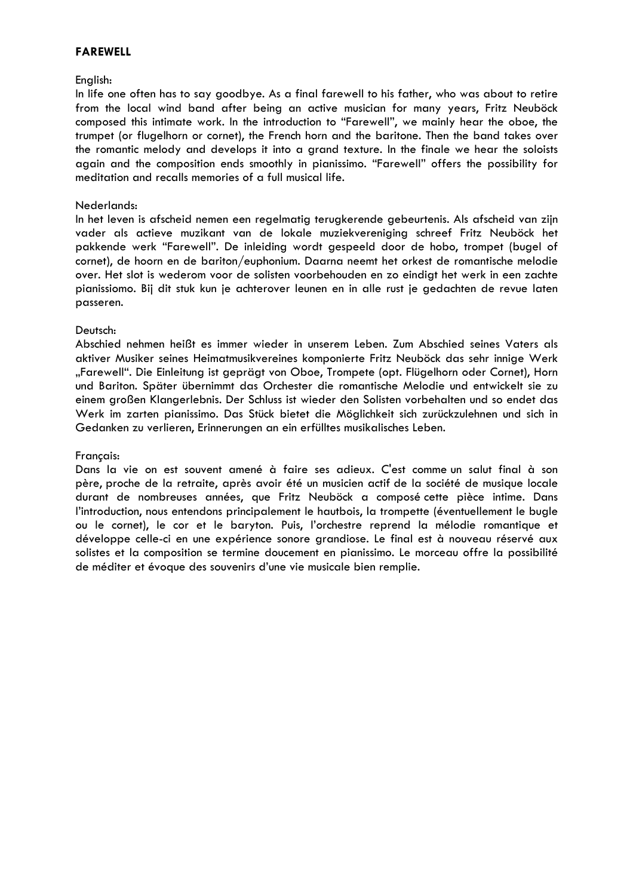#### **FAREWELL**

#### English:

In life one often has to say goodbye. As a final farewell to his father, who was about to retire from the local wind band after being an active musician for many years, Fritz Neuböck composed this intimate work. In the introduction to "Farewell", we mainly hear the oboe, the trumpet (or flugelhorn or cornet), the French horn and the baritone. Then the band takes over the romantic melody and develops it into a grand texture. In the finale we hear the soloists again and the composition ends smoothly in pianissimo. "Farewell" offers the possibility for meditation and recalls memories of a full musical life.

#### Nederlands:

In het leven is afscheid nemen een regelmatig terugkerende gebeurtenis. Als afscheid van zijn vader als actieve muzikant van de lokale muziekvereniging schreef Fritz Neuböck het pakkende werk "Farewell". De inleiding wordt gespeeld door de hobo, trompet (bugel of cornet), de hoorn en de bariton/euphonium. Daarna neemt het orkest de romantische melodie over. Het slot is wederom voor de solisten voorbehouden en zo eindigt het werk in een zachte pianissiomo. Bij dit stuk kun je achterover leunen en in alle rust je gedachten de revue laten passeren.

#### Deutsch:

Abschied nehmen heißt es immer wieder in unserem Leben. Zum Abschied seines Vaters als aktiver Musiker seines Heimatmusikvereines komponierte Fritz Neuböck das sehr innige Werk "Farewell". Die Einleitung ist geprägt von Oboe, Trompete (opt. Flügelhorn oder Cornet), Horn und Bariton. Später übernimmt das Orchester die romantische Melodie und entwickelt sie zu einem großen Klangerlebnis. Der Schluss ist wieder den Solisten vorbehalten und so endet das Werk im zarten pianissimo. Das Stück bietet die Möglichkeit sich zurückzulehnen und sich in Gedanken zu verlieren, Erinnerungen an ein erfülltes musikalisches Leben.

#### Français:

Dans la vie on est souvent amené à faire ses adieux. C'est comme un salut final à son père, proche de la retraite, après avoir été un musicien actif de la société de musique locale durant de nombreuses années, que Fritz Neuböck a composé cette pièce intime. Dans l'introduction, nous entendons principalement le hautbois, la trompette (éventuellement le bugle ou le cornet), le cor et le baryton. Puis, l'orchestre reprend la mélodie romantique et développe celle-ci en une expérience sonore grandiose. Le final est à nouveau réservé aux solistes et la composition se termine doucement en pianissimo. Le morceau offre la possibilité de méditer et évoque des souvenirs d'une vie musicale bien remplie.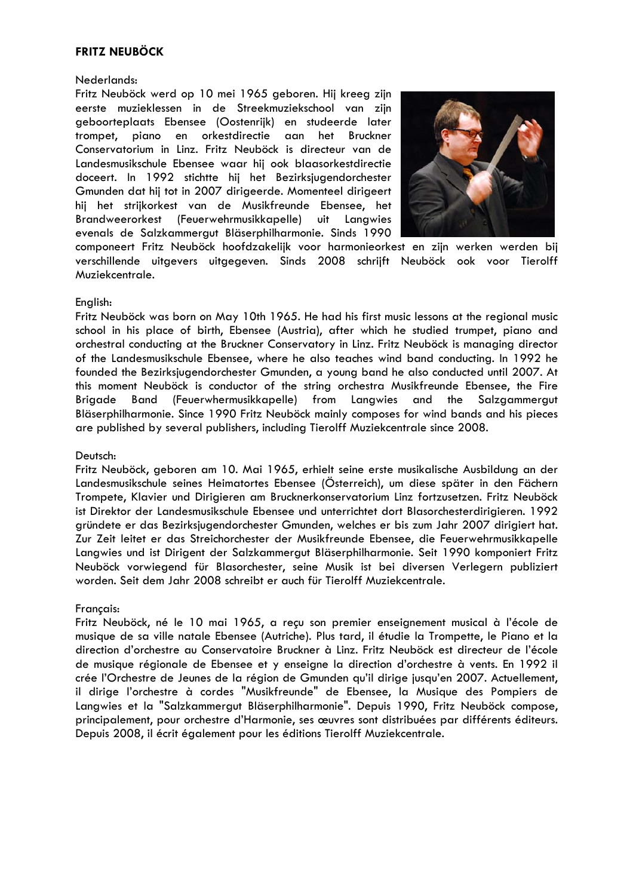#### **FRITZ NEUBÖCK**

#### Nederlands:

Fritz Neuböck werd op 10 mei 1965 geboren. Hij kreeg zijn eerste muzieklessen in de Streekmuziekschool van zijn geboorteplaats Ebensee (Oostenrijk) en studeerde later trompet, piano en orkestdirectie aan het Bruckner Conservatorium in Linz. Fritz Neuböck is directeur van de Landesmusikschule Ebensee waar hij ook blaasorkestdirectie doceert. In 1992 stichtte hij het Bezirksjugendorchester Gmunden dat hij tot in 2007 dirigeerde. Momenteel dirigeert hij het strijkorkest van de Musikfreunde Ebensee, het Brandweerorkest (Feuerwehrmusikkapelle) uit Langwies evenals de Salzkammergut Bläserphilharmonie. Sinds 1990



componeert Fritz Neuböck hoofdzakelijk voor harmonieorkest en zijn werken werden bij verschillende uitgevers uitgegeven. Sinds 2008 schrijft Neuböck ook voor Tierolff Muziekcentrale.

#### English:

Fritz Neuböck was born on May 10th 1965. He had his first music lessons at the regional music school in his place of birth, Ebensee (Austria), after which he studied trumpet, piano and orchestral conducting at the Bruckner Conservatory in Linz. Fritz Neuböck is managing director of the Landesmusikschule Ebensee, where he also teaches wind band conducting. In 1992 he founded the Bezirksjugendorchester Gmunden, a young band he also conducted until 2007. At this moment Neuböck is conductor of the string orchestra Musikfreunde Ebensee, the Fire Brigade Band (Feuerwhermusikkapelle) from Langwies and the Salzgammergut Bläserphilharmonie. Since 1990 Fritz Neuböck mainly composes for wind bands and his pieces are published by several publishers, including Tierolff Muziekcentrale since 2008.

#### Deutsch:

Fritz Neuböck, geboren am 10. Mai 1965, erhielt seine erste musikalische Ausbildung an der Landesmusikschule seines Heimatortes Ebensee (Österreich), um diese später in den Fächern Trompete, Klavier und Dirigieren am Brucknerkonservatorium Linz fortzusetzen. Fritz Neuböck ist Direktor der Landesmusikschule Ebensee und unterrichtet dort Blasorchesterdirigieren. 1992 gründete er das Bezirksjugendorchester Gmunden, welches er bis zum Jahr 2007 dirigiert hat. Zur Zeit leitet er das Streichorchester der Musikfreunde Ebensee, die Feuerwehrmusikkapelle Langwies und ist Dirigent der Salzkammergut Bläserphilharmonie. Seit 1990 komponiert Fritz Neuböck vorwiegend für Blasorchester, seine Musik ist bei diversen Verlegern publiziert worden. Seit dem Jahr 2008 schreibt er auch für Tierolff Muziekcentrale.

#### Français:

Fritz Neuböck, né le 10 mai 1965, a reçu son premier enseignement musical à l'école de musique de sa ville natale Ebensee (Autriche). Plus tard, il étudie la Trompette, le Piano et la direction d'orchestre au Conservatoire Bruckner à Linz. Fritz Neuböck est directeur de l'école de musique régionale de Ebensee et y enseigne la direction d'orchestre à vents. En 1992 il crée l'Orchestre de Jeunes de la région de Gmunden qu'il dirige jusqu'en 2007. Actuellement, il dirige l'orchestre à cordes "Musikfreunde" de Ebensee, la Musique des Pompiers de Langwies et la "Salzkammergut Bläserphilharmonie". Depuis 1990, Fritz Neuböck compose, principalement, pour orchestre d'Harmonie, ses œuvres sont distribuées par différents éditeurs. Depuis 2008, il écrit également pour les éditions Tierolff Muziekcentrale.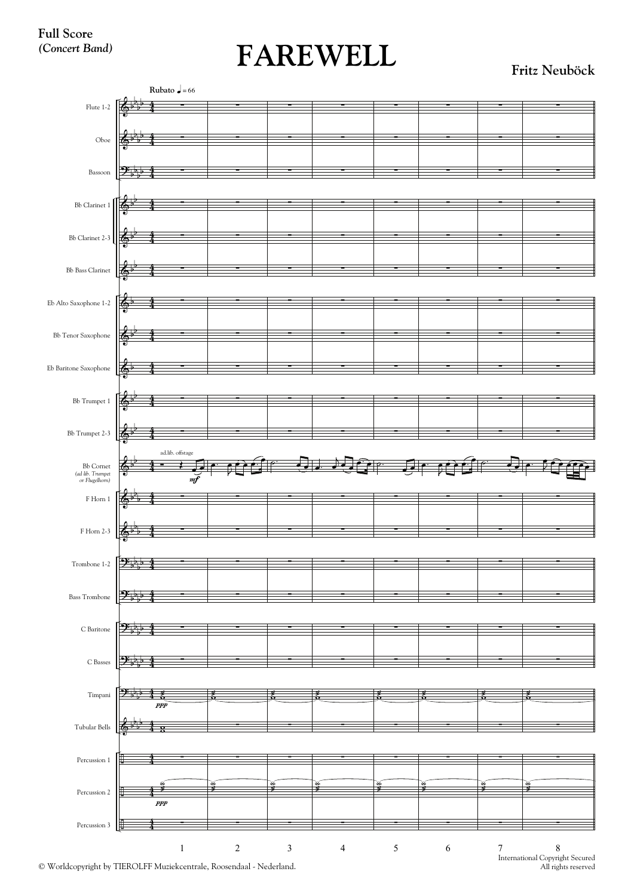### **Full Score** *(Concert Band)*

# **FAREWELL Fritz Neuböck**

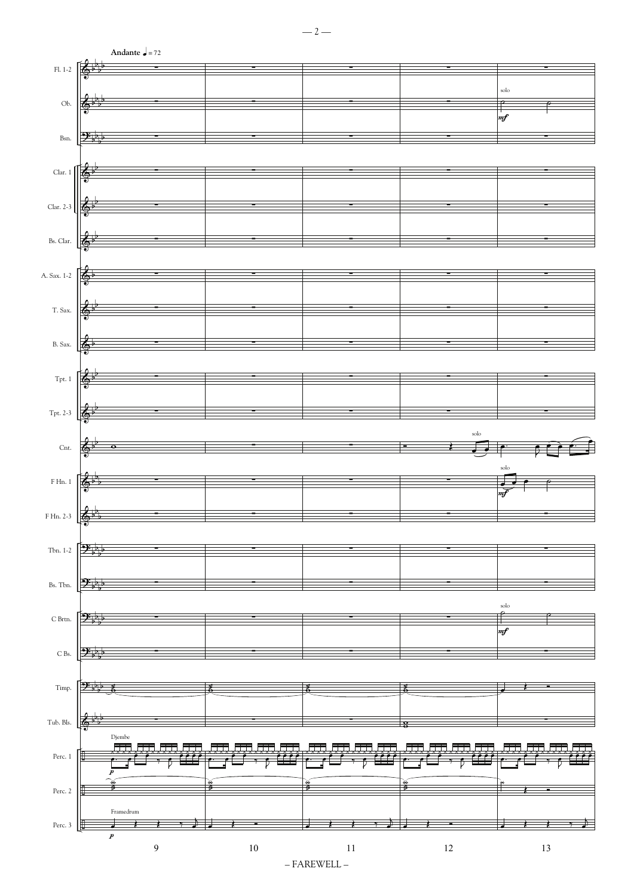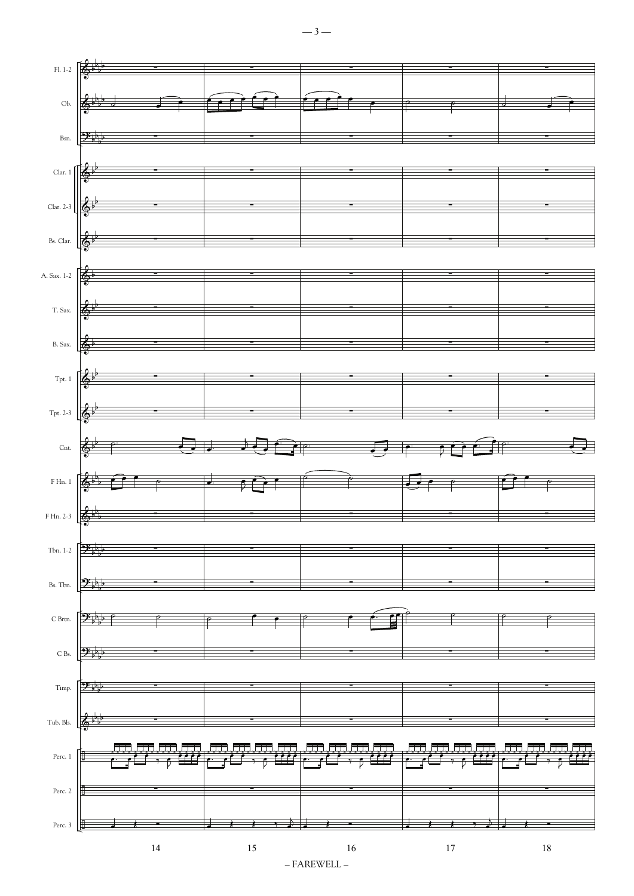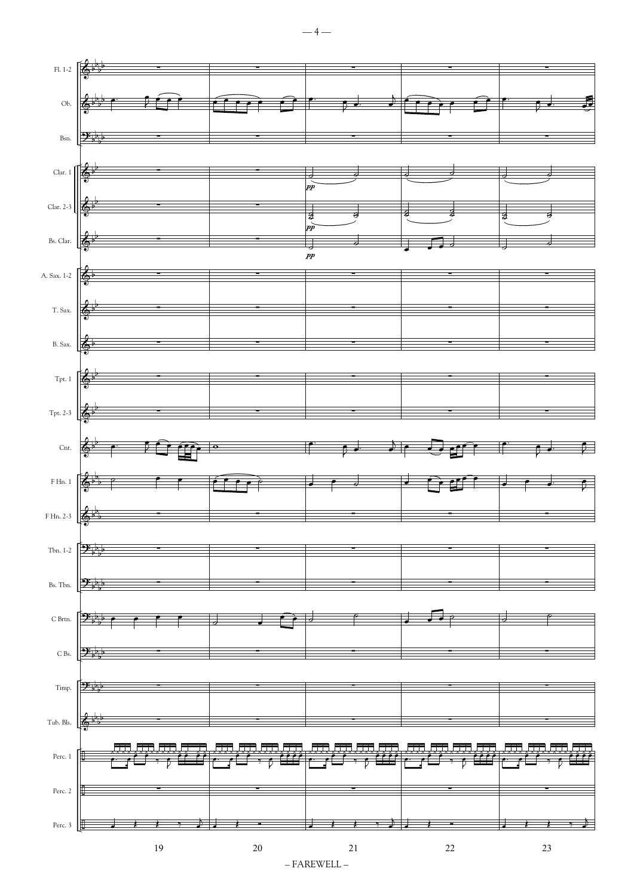

 $-4-$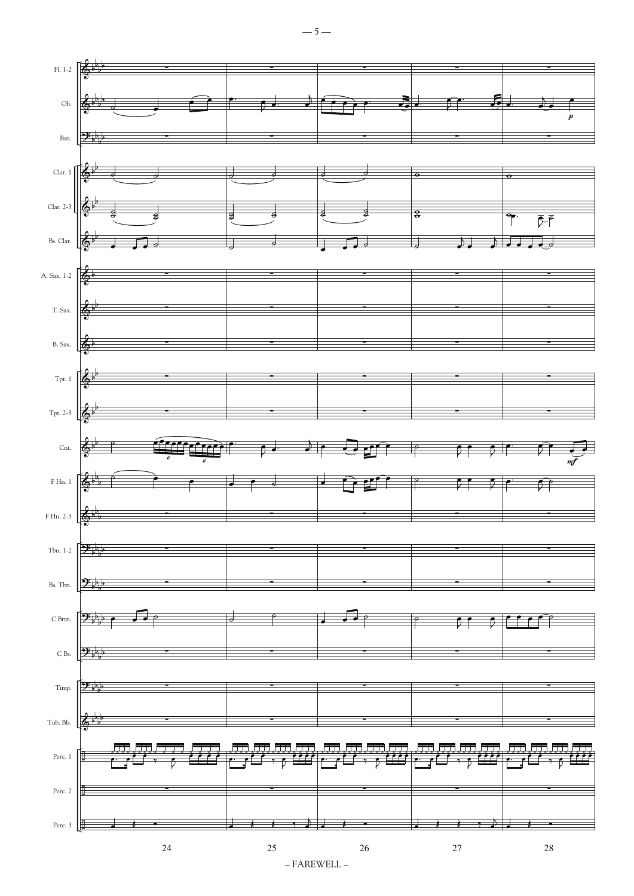

 $-5-$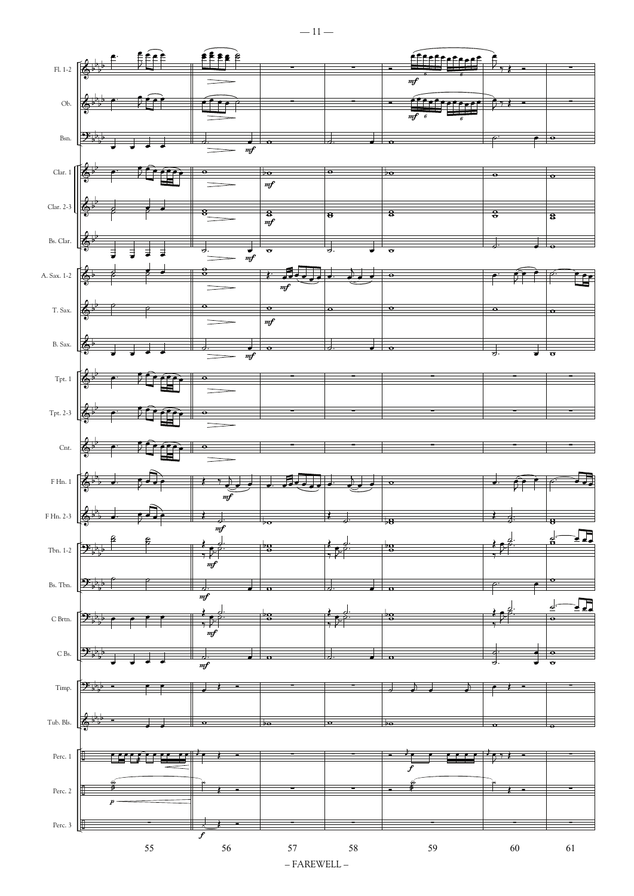

– FAREWELL –

 $-11-$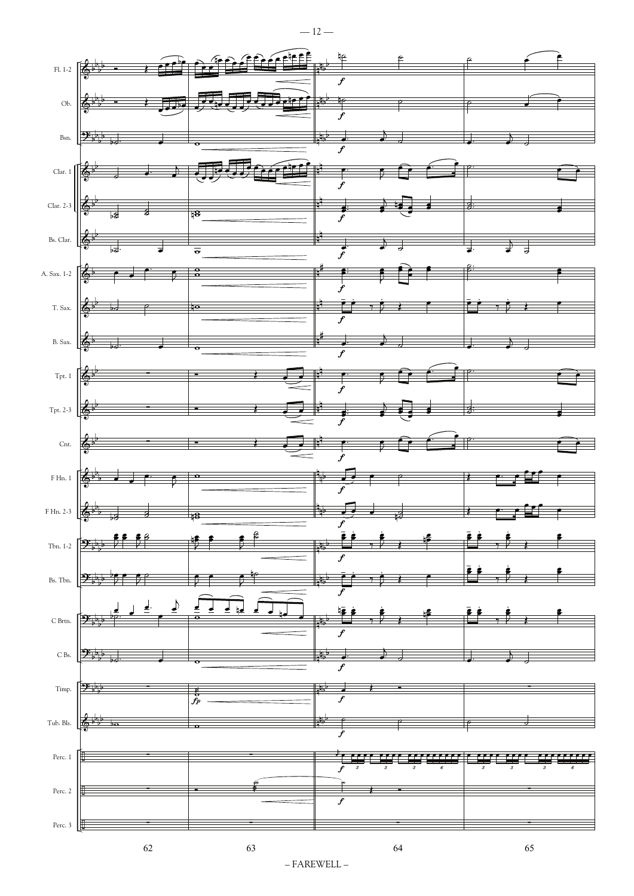

 $-12-$ 

– FAREWELL –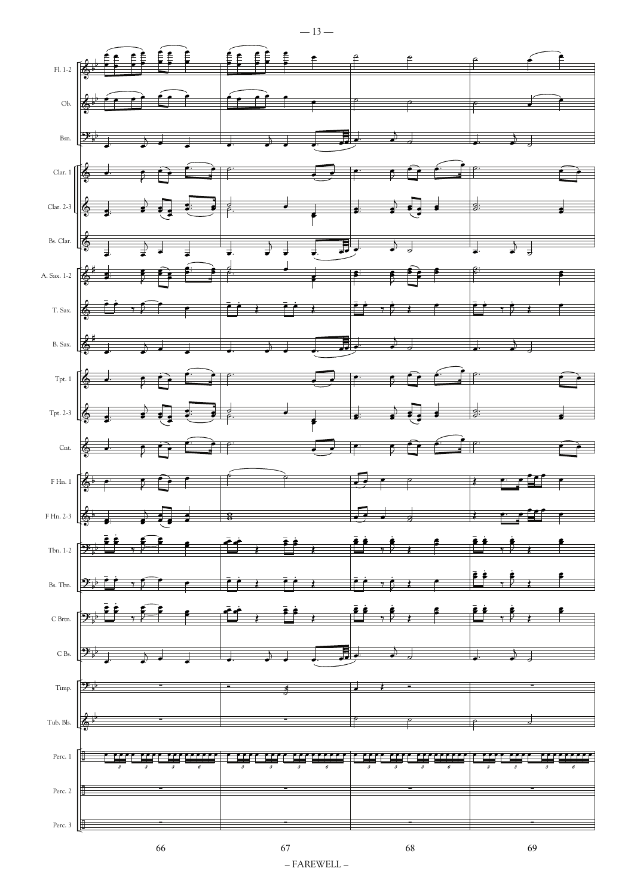$-13-$